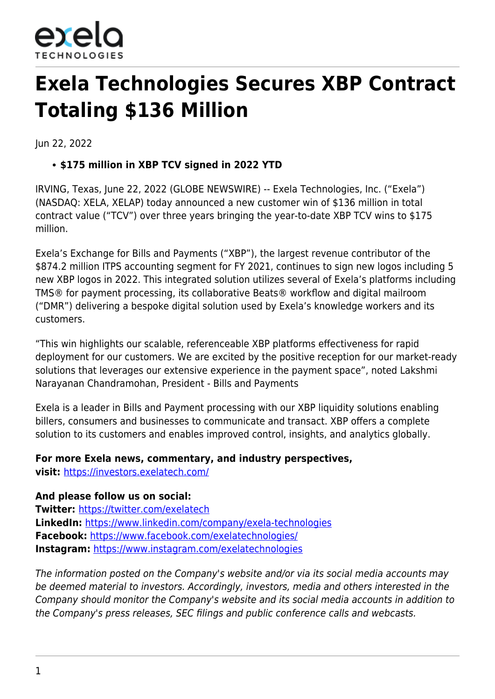

# **Exela Technologies Secures XBP Contract Totaling \$136 Million**

Jun 22, 2022

## **\$175 million in XBP TCV signed in 2022 YTD**

IRVING, Texas, June 22, 2022 (GLOBE NEWSWIRE) -- Exela Technologies, Inc. ("Exela") (NASDAQ: XELA, XELAP) today announced a new customer win of \$136 million in total contract value ("TCV") over three years bringing the year-to-date XBP TCV wins to \$175 million.

Exela's Exchange for Bills and Payments ("XBP"), the largest revenue contributor of the \$874.2 million ITPS accounting segment for FY 2021, continues to sign new logos including 5 new XBP logos in 2022. This integrated solution utilizes several of Exela's platforms including TMS® for payment processing, its collaborative Beats® workflow and digital mailroom ("DMR") delivering a bespoke digital solution used by Exela's knowledge workers and its customers.

"This win highlights our scalable, referenceable XBP platforms effectiveness for rapid deployment for our customers. We are excited by the positive reception for our market-ready solutions that leverages our extensive experience in the payment space", noted Lakshmi Narayanan Chandramohan, President - Bills and Payments

Exela is a leader in Bills and Payment processing with our XBP liquidity solutions enabling billers, consumers and businesses to communicate and transact. XBP offers a complete solution to its customers and enables improved control, insights, and analytics globally.

### **For more Exela news, commentary, and industry perspectives,**

**visit:** [https://investors.exelatech.com/](https://www.globenewswire.com/Tracker?data=GelyPd5IJeTKeYyVkNAQ66F2ItbdqgeBMwZnrBHEAuTxWYe4qFD7ZPk3sTK4HUjSI9F2mO7w0FA1_miviWrZdiHk0MY3C5FcbB4KrwZ5CekfqAuUl0WI2nXRvV0Cafxh)

### **And please follow us on social:**

**Twitter:** [https://twitter.com/exelatech](https://www.globenewswire.com/Tracker?data=GelyPd5IJeTKeYyVkNAQ617XXaWLwra8lRDavmT8cvsO6mL2A89nGzHCcKezoc-T05L2rE8QJG-KRDJL_koPOj_5UZXL99_2RD-DxIJeBV4=) **LinkedIn:** [https://www.linkedin.com/company/exela-technologies](https://www.globenewswire.com/Tracker?data=GelyPd5IJeTKeYyVkNAQ65ozJAIy5z9r7ijOhDlY8yEjSNeBjOm6aWESkfZ_TpAOL3Rnujs-riqHBJlF6peExMYOr2I7u_gv7vPORjtMoZsiVcLz9guuJbrN6B59VS-EfLTSaMDKu3_AS6eRMNCD1qt-mAXqGCzqHJDaWfNjOVA=) **Facebook:** [https://www.facebook.com/exelatechnologies/](https://www.globenewswire.com/Tracker?data=GelyPd5IJeTKeYyVkNAQ635avg1-IBwYTdxNiPn5jOwj3jMhhF7E7l5yOtxG39gwRoDq4avN53Q__ch15PvtLVpMbxRNzxYFUa-w5zJkNoaP693gwjvNLZnh8x19L3yOhrJXVETBLnlIntuVykUvUQ==) **Instagram:** [https://www.instagram.com/exelatechnologies](https://www.globenewswire.com/Tracker?data=GelyPd5IJeTKeYyVkNAQ62e2JThSktHFXxa1oy9WWma5WqFbLNhaiNrEawwqFqNL6av94WGlzcK26RPDPNmUB_4qbexZ0yhW_kqskGeegs8SVEoFi3DJ1xOrXOUF-gXPq6DkboP33qJ17psLcvn1_A==)

The information posted on the Company's website and/or via its social media accounts may be deemed material to investors. Accordingly, investors, media and others interested in the Company should monitor the Company's website and its social media accounts in addition to the Company's press releases, SEC filings and public conference calls and webcasts.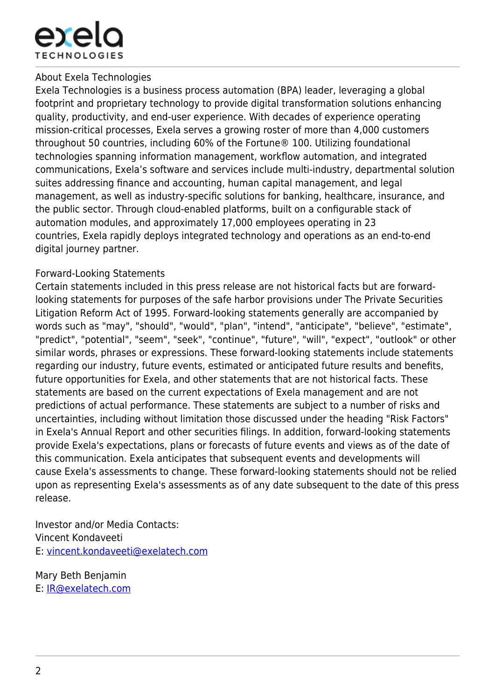

#### About Exela Technologies

Exela Technologies is a business process automation (BPA) leader, leveraging a global footprint and proprietary technology to provide digital transformation solutions enhancing quality, productivity, and end-user experience. With decades of experience operating mission-critical processes, Exela serves a growing roster of more than 4,000 customers throughout 50 countries, including 60% of the Fortune® 100. Utilizing foundational technologies spanning information management, workflow automation, and integrated communications, Exela's software and services include multi-industry, departmental solution suites addressing finance and accounting, human capital management, and legal management, as well as industry-specific solutions for banking, healthcare, insurance, and the public sector. Through cloud-enabled platforms, built on a configurable stack of automation modules, and approximately 17,000 employees operating in 23 countries, Exela rapidly deploys integrated technology and operations as an end-to-end digital journey partner.

### Forward-Looking Statements

Certain statements included in this press release are not historical facts but are forwardlooking statements for purposes of the safe harbor provisions under The Private Securities Litigation Reform Act of 1995. Forward-looking statements generally are accompanied by words such as "may", "should", "would", "plan", "intend", "anticipate", "believe", "estimate", "predict", "potential", "seem", "seek", "continue", "future", "will", "expect", "outlook" or other similar words, phrases or expressions. These forward-looking statements include statements regarding our industry, future events, estimated or anticipated future results and benefits, future opportunities for Exela, and other statements that are not historical facts. These statements are based on the current expectations of Exela management and are not predictions of actual performance. These statements are subject to a number of risks and uncertainties, including without limitation those discussed under the heading "Risk Factors" in Exela's Annual Report and other securities filings. In addition, forward-looking statements provide Exela's expectations, plans or forecasts of future events and views as of the date of this communication. Exela anticipates that subsequent events and developments will cause Exela's assessments to change. These forward-looking statements should not be relied upon as representing Exela's assessments as of any date subsequent to the date of this press release.

Investor and/or Media Contacts: Vincent Kondaveeti E: [vincent.kondaveeti@exelatech.com](https://www.globenewswire.com/Tracker?data=2up9-mX9GfuuGURc-Qh2aEtpK3UXImgLa7QlLEFKjCvH0Bf-jtYeRQT2jSkWVK2I7jJuVUekXZkTydLRi4zJ5PLmUMKQ5-Id9Alg6HaeNQjnAnGqgGky7j4ok65pWzCU)

Mary Beth Benjamin E: [IR@exelatech.com](https://www.globenewswire.com/Tracker?data=poVq_rpvZDUETZz9sTIpjTRuK7vlxsHL28AarElYN6a5RYl6UiEIw_4gBWU7Z2MmZd5-bpjnt5PIkhRG7xU8Yg==)